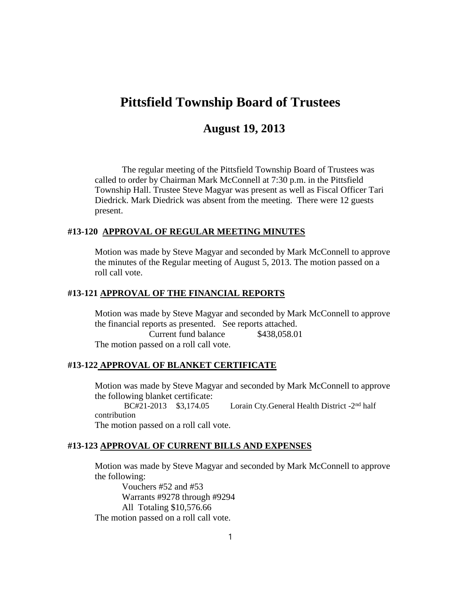# **Pittsfield Township Board of Trustees**

# **August 19, 2013**

The regular meeting of the Pittsfield Township Board of Trustees was called to order by Chairman Mark McConnell at 7:30 p.m. in the Pittsfield Township Hall. Trustee Steve Magyar was present as well as Fiscal Officer Tari Diedrick. Mark Diedrick was absent from the meeting. There were 12 guests present.

#### **#13-120 APPROVAL OF REGULAR MEETING MINUTES**

Motion was made by Steve Magyar and seconded by Mark McConnell to approve the minutes of the Regular meeting of August 5, 2013. The motion passed on a roll call vote.

#### **#13-121 APPROVAL OF THE FINANCIAL REPORTS**

Motion was made by Steve Magyar and seconded by Mark McConnell to approve the financial reports as presented. See reports attached.

Current fund balance \$438,058.01

The motion passed on a roll call vote.

### **#13-122 APPROVAL OF BLANKET CERTIFICATE**

Motion was made by Steve Magyar and seconded by Mark McConnell to approve the following blanket certificate:

BC#21-2013 \$3,174.05 Lorain Cty.General Health District -2nd half contribution

The motion passed on a roll call vote.

#### **#13-123 APPROVAL OF CURRENT BILLS AND EXPENSES**

Motion was made by Steve Magyar and seconded by Mark McConnell to approve the following:

Vouchers #52 and #53 Warrants #9278 through #9294 All Totaling \$10,576.66 The motion passed on a roll call vote.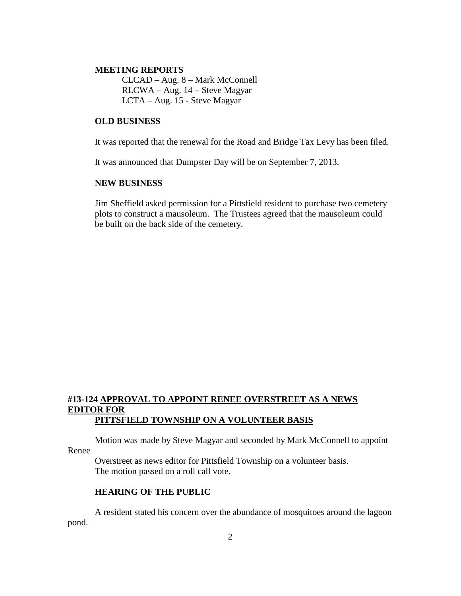#### **MEETING REPORTS**

CLCAD – Aug. 8 – Mark McConnell RLCWA – Aug. 14 – Steve Magyar LCTA – Aug. 15 - Steve Magyar

#### **OLD BUSINESS**

It was reported that the renewal for the Road and Bridge Tax Levy has been filed.

It was announced that Dumpster Day will be on September 7, 2013.

#### **NEW BUSINESS**

Jim Sheffield asked permission for a Pittsfield resident to purchase two cemetery plots to construct a mausoleum. The Trustees agreed that the mausoleum could be built on the back side of the cemetery.

#### **#13-124 APPROVAL TO APPOINT RENEE OVERSTREET AS A NEWS EDITOR FOR PITTSFIELD TOWNSHIP ON A VOLUNTEER BASIS**

Motion was made by Steve Magyar and seconded by Mark McConnell to appoint Renee

Overstreet as news editor for Pittsfield Township on a volunteer basis. The motion passed on a roll call vote.

#### **HEARING OF THE PUBLIC**

A resident stated his concern over the abundance of mosquitoes around the lagoon pond.